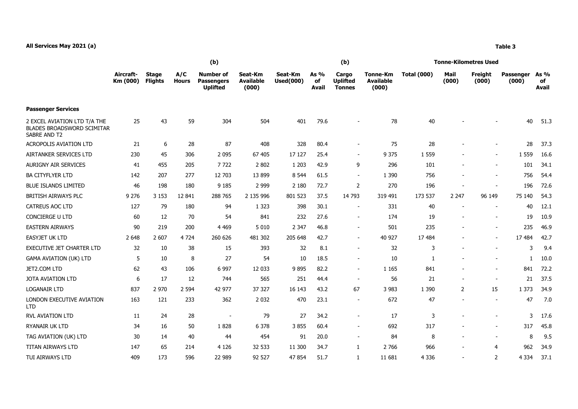|                                                                                   | (b)                   |                                |                     |                                                          |                                      |                             |                            | (b)                                       |                                       | <b>Tonne-Kilometres Used</b> |                          |                          |                    |                     |  |
|-----------------------------------------------------------------------------------|-----------------------|--------------------------------|---------------------|----------------------------------------------------------|--------------------------------------|-----------------------------|----------------------------|-------------------------------------------|---------------------------------------|------------------------------|--------------------------|--------------------------|--------------------|---------------------|--|
|                                                                                   | Aircraft-<br>Km (000) | <b>Stage</b><br><b>Flights</b> | A/C<br><b>Hours</b> | <b>Number of</b><br><b>Passengers</b><br><b>Uplifted</b> | Seat-Km<br><b>Available</b><br>(000) | Seat-Km<br><b>Used(000)</b> | As %<br>of<br><b>Avail</b> | Cargo<br><b>Uplifted</b><br><b>Tonnes</b> | Tonne-Km<br><b>Available</b><br>(000) | <b>Total (000)</b>           | Mail<br>(000)            | Freight<br>(000)         | Passenger<br>(000) | As %<br>of<br>Avail |  |
| <b>Passenger Services</b>                                                         |                       |                                |                     |                                                          |                                      |                             |                            |                                           |                                       |                              |                          |                          |                    |                     |  |
| 2 EXCEL AVIATION LTD T/A THE<br><b>BLADES BROADSWORD SCIMITAR</b><br>SABRE AND T2 | 25                    | 43                             | 59                  | 304                                                      | 504                                  | 401                         | 79.6                       |                                           | 78                                    | 40                           |                          |                          | 40                 | 51.3                |  |
| <b>ACROPOLIS AVIATION LTD</b>                                                     | 21                    | 6                              | 28                  | 87                                                       | 408                                  | 328                         | 80.4                       | $\blacksquare$                            | 75                                    | 28                           |                          |                          | 28                 | 37.3                |  |
| AIRTANKER SERVICES LTD                                                            | 230                   | 45                             | 306                 | 2 0 9 5                                                  | 67 405                               | 17 127                      | 25.4                       | $\sim$                                    | 9 3 7 5                               | 1 5 5 9                      |                          | $\overline{\phantom{0}}$ | 1 5 5 9            | 16.6                |  |
| <b>AURIGNY AIR SERVICES</b>                                                       | 41                    | 455                            | 205                 | 7722                                                     | 2 8 0 2                              | 1 2 0 3                     | 42.9                       | 9                                         | 296                                   | 101                          |                          | $\overline{\phantom{0}}$ | 101                | 34.1                |  |
| <b>BA CITYFLYER LTD</b>                                                           | 142                   | 207                            | 277                 | 12 703                                                   | 13 899                               | 8 5 4 4                     | 61.5                       | $\blacksquare$                            | 1 3 9 0                               | 756                          |                          | $\overline{\phantom{a}}$ | 756                | 54.4                |  |
| <b>BLUE ISLANDS LIMITED</b>                                                       | 46                    | 198                            | 180                 | 9 1 8 5                                                  | 2 9 9 9                              | 2 1 8 0                     | 72.7                       | $\overline{2}$                            | 270                                   | 196                          |                          | ÷,                       | 196                | 72.6                |  |
| BRITISH AIRWAYS PLC                                                               | 9 2 7 6               | 3 1 5 3                        | 12 841              | 288 765                                                  | 2 135 996                            | 801 523                     | 37.5                       | 14 793                                    | 319 491                               | 173 537                      | 2 2 4 7                  | 96 149                   | 75 140             | 54.3                |  |
| CATREUS AOC LTD                                                                   | 127                   | 79                             | 180                 | 94                                                       | 1 3 2 3                              | 398                         | 30.1                       | $\sim$                                    | 331                                   | 40                           |                          | $\blacksquare$           | 40                 | 12.1                |  |
| CONCIERGE U LTD                                                                   | 60                    | 12                             | 70                  | 54                                                       | 841                                  | 232                         | 27.6                       | $\sim$                                    | 174                                   | 19                           | $\blacksquare$           | ÷,                       | 19                 | 10.9                |  |
| <b>EASTERN AIRWAYS</b>                                                            | 90                    | 219                            | 200                 | 4 4 6 9                                                  | 5 0 1 0                              | 2 3 4 7                     | 46.8                       | $\sim$                                    | 501                                   | 235                          |                          | $\overline{\phantom{0}}$ | 235                | 46.9                |  |
| <b>EASYJET UK LTD</b>                                                             | 2 6 4 8               | 2 607                          | 4 7 2 4             | 260 626                                                  | 481 302                              | 205 648                     | 42.7                       | $\sim$                                    | 40 927                                | 17 484                       |                          | $\overline{\phantom{0}}$ | 17 484             | 42.7                |  |
| EXECUTIVE JET CHARTER LTD                                                         | 32                    | 10                             | 38                  | 15                                                       | 393                                  | 32                          | 8.1                        | $\sim$                                    | 32                                    | 3                            | $\blacksquare$           | $\overline{\phantom{0}}$ | 3                  | 9.4                 |  |
| <b>GAMA AVIATION (UK) LTD</b>                                                     | 5                     | 10                             | 8                   | 27                                                       | 54                                   | 10                          | 18.5                       | $\sim$                                    | 10                                    | 1                            |                          |                          | 1.                 | 10.0                |  |
| JET2.COM LTD                                                                      | 62                    | 43                             | 106                 | 6 9 9 7                                                  | 12 033                               | 9895                        | 82.2                       | $\sim$                                    | 1 1 6 5                               | 841                          |                          | $\overline{\phantom{0}}$ | 841                | 72.2                |  |
| JOTA AVIATION LTD                                                                 | 6                     | 17                             | 12                  | 744                                                      | 565                                  | 251                         | 44.4                       | $\sim$                                    | 56                                    | 21                           |                          | $\blacksquare$           | 21                 | 37.5                |  |
| <b>LOGANAIR LTD</b>                                                               | 837                   | 2 9 7 0                        | 2 5 9 4             | 42 977                                                   | 37 327                               | 16 143                      | 43.2                       | 67                                        | 3 9 8 3                               | 1 3 9 0                      | $\overline{2}$           | 15                       | 1 3 7 3            | 34.9                |  |
| LONDON EXECUTIVE AVIATION<br><b>LTD</b>                                           | 163                   | 121                            | 233                 | 362                                                      | 2 0 3 2                              | 470                         | 23.1                       | $\blacksquare$                            | 672                                   | 47                           | $\overline{\phantom{a}}$ | $\overline{\phantom{a}}$ | 47                 | 7.0                 |  |
| <b>RVL AVIATION LTD</b>                                                           | 11                    | 24                             | 28                  | $\overline{\phantom{a}}$                                 | 79                                   | 27                          | 34.2                       | $\sim$                                    | 17                                    | 3                            |                          |                          | 3                  | 17.6                |  |
| RYANAIR UK LTD                                                                    | 34                    | 16                             | 50                  | 1828                                                     | 6 3 7 8                              | 3855                        | 60.4                       | $\sim$                                    | 692                                   | 317                          |                          | $\overline{\phantom{0}}$ | 317                | 45.8                |  |
| TAG AVIATION (UK) LTD                                                             | 30                    | 14                             | 40                  | 44                                                       | 454                                  | 91                          | 20.0                       | $\sim$                                    | 84                                    | 8                            |                          | $\overline{a}$           | 8                  | 9.5                 |  |
| TITAN AIRWAYS LTD                                                                 | 147                   | 65                             | 214                 | 4 1 2 6                                                  | 32 533                               | 11 300                      | 34.7                       | $\mathbf{1}$                              | 2 7 6 6                               | 966                          |                          | 4                        | 962                | 34.9                |  |
| TUI AIRWAYS LTD                                                                   | 409                   | 173                            | 596                 | 22 989                                                   | 92 527                               | 47 854                      | 51.7                       | $\mathbf{1}$                              | 11 681                                | 4 3 3 6                      |                          | 2                        | 4 3 3 4            | 37.1                |  |